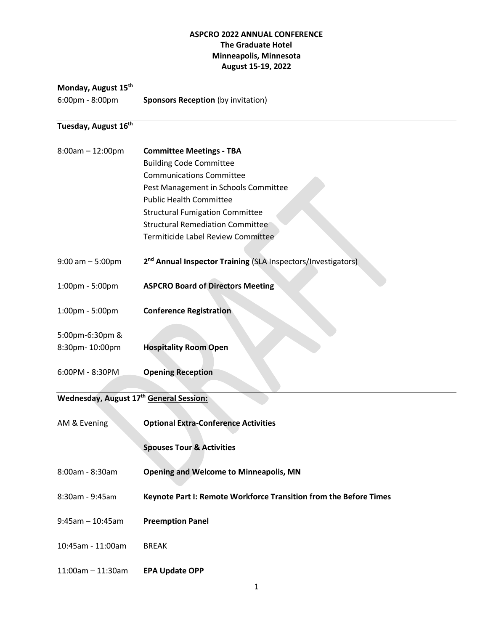#### **ASPCRO 2022 ANNUAL CONFERENCE The Graduate Hotel Minneapolis, Minnesota August 15-19, 2022**

### **Monday, August 15th**

6:00pm - 8:00pm **Sponsors Reception** (by invitation)

# **Tuesday, August 16th**

| $8:00am - 12:00pm$                      | <b>Committee Meetings - TBA</b>                                          |
|-----------------------------------------|--------------------------------------------------------------------------|
|                                         | <b>Building Code Committee</b>                                           |
|                                         | <b>Communications Committee</b>                                          |
|                                         | Pest Management in Schools Committee                                     |
|                                         | <b>Public Health Committee</b>                                           |
|                                         | <b>Structural Fumigation Committee</b>                                   |
|                                         | <b>Structural Remediation Committee</b>                                  |
|                                         | Termiticide Label Review Committee                                       |
| $9:00$ am $-5:00$ pm                    | 2 <sup>nd</sup> Annual Inspector Training (SLA Inspectors/Investigators) |
| 1:00pm - 5:00pm                         | <b>ASPCRO Board of Directors Meeting</b>                                 |
| 1:00pm - 5:00pm                         | <b>Conference Registration</b>                                           |
| 5:00pm-6:30pm &                         |                                                                          |
| 8:30pm-10:00pm                          | <b>Hospitality Room Open</b>                                             |
| 6:00PM - 8:30PM                         | <b>Opening Reception</b>                                                 |
| Wednesday, August 17th General Session: |                                                                          |
|                                         |                                                                          |
| AM & Evening                            | <b>Optional Extra-Conference Activities</b>                              |
|                                         | <b>Spouses Tour &amp; Activities</b>                                     |
| 8:00am - 8:30am                         | <b>Opening and Welcome to Minneapolis, MN</b>                            |
| 8:30am - 9:45am                         | Keynote Part I: Remote Workforce Transition from the Before Times        |
| $9:45am - 10:45am$                      | <b>Preemption Panel</b>                                                  |

- 10:45am 11:00am BREAK
- 11:00am 11:30am **EPA Update OPP**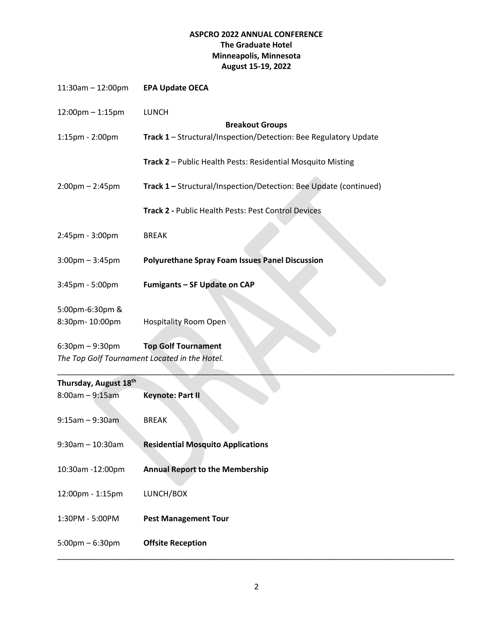# **ASPCRO 2022 ANNUAL CONFERENCE The Graduate Hotel Minneapolis, Minnesota August 15-19, 2022**

| $11:30am - 12:00pm$                           | <b>EPA Update OECA</b>                                            |  |  |  |  |
|-----------------------------------------------|-------------------------------------------------------------------|--|--|--|--|
| 12:00pm - 1:15pm                              | <b>LUNCH</b>                                                      |  |  |  |  |
|                                               | <b>Breakout Groups</b>                                            |  |  |  |  |
| 1:15pm - 2:00pm                               | Track 1 - Structural/Inspection/Detection: Bee Regulatory Update  |  |  |  |  |
|                                               | Track 2 - Public Health Pests: Residential Mosquito Misting       |  |  |  |  |
| $2:00$ pm – 2:45pm                            | Track 1 - Structural/Inspection/Detection: Bee Update (continued) |  |  |  |  |
|                                               | Track 2 - Public Health Pests: Pest Control Devices               |  |  |  |  |
| 2:45pm - 3:00pm                               | <b>BREAK</b>                                                      |  |  |  |  |
| $3:00$ pm $-3:45$ pm                          | <b>Polyurethane Spray Foam Issues Panel Discussion</b>            |  |  |  |  |
| 3:45pm - 5:00pm                               | Fumigants - SF Update on CAP                                      |  |  |  |  |
| 5:00pm-6:30pm &                               |                                                                   |  |  |  |  |
| 8:30pm-10:00pm                                | <b>Hospitality Room Open</b>                                      |  |  |  |  |
| $6:30$ pm $-9:30$ pm                          | <b>Top Golf Tournament</b>                                        |  |  |  |  |
| The Top Golf Tournament Located in the Hotel. |                                                                   |  |  |  |  |

| Thursday, August 18th             |                                          |
|-----------------------------------|------------------------------------------|
| $8:00am - 9:15am$                 | <b>Keynote: Part II</b>                  |
| $9:15$ am $-9:30$ am              | <b>BREAK</b>                             |
| $9:30$ am - 10:30am               | <b>Residential Mosquito Applications</b> |
| 10:30am -12:00pm                  | <b>Annual Report to the Membership</b>   |
| 12:00pm - 1:15pm                  | LUNCH/BOX                                |
| 1:30PM - 5:00PM                   | <b>Pest Management Tour</b>              |
| $5:00 \text{pm} - 6:30 \text{pm}$ | <b>Offsite Reception</b>                 |